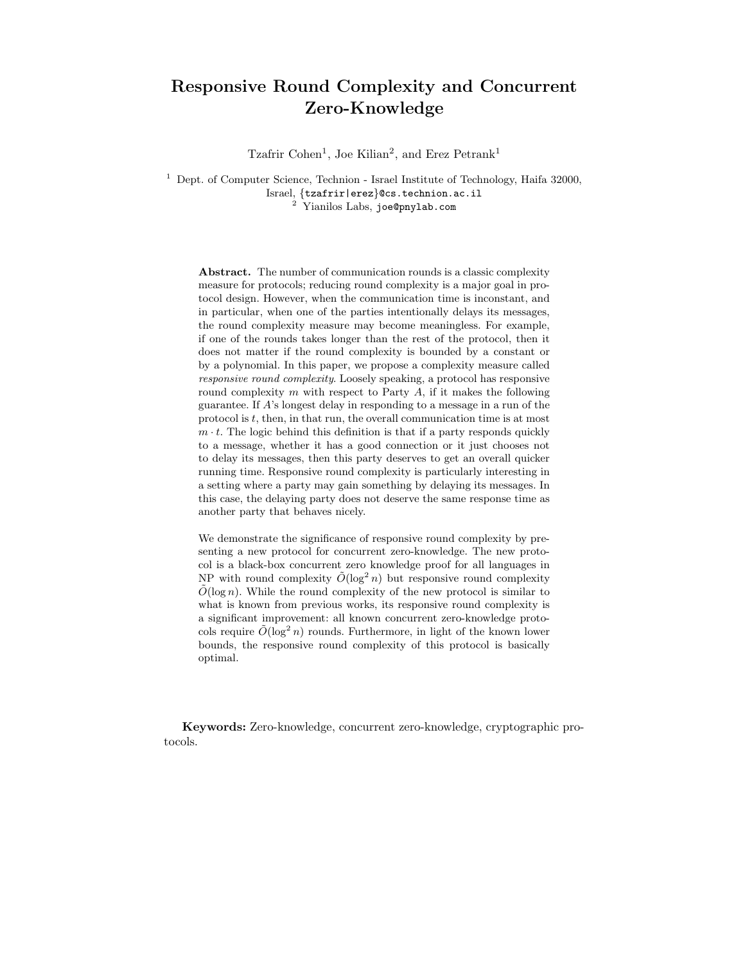# Responsive Round Complexity and Concurrent Zero-Knowledge

Tzafrir Cohen<sup>1</sup>, Joe Kilian<sup>2</sup>, and Erez Petrank<sup>1</sup>

<sup>1</sup> Dept. of Computer Science, Technion - Israel Institute of Technology, Haifa 32000, Israel, {tzafrir|erez}@cs.technion.ac.il Yianilos Labs, joe@pnylab.com

Abstract. The number of communication rounds is a classic complexity measure for protocols; reducing round complexity is a major goal in protocol design. However, when the communication time is inconstant, and in particular, when one of the parties intentionally delays its messages, the round complexity measure may become meaningless. For example, if one of the rounds takes longer than the rest of the protocol, then it does not matter if the round complexity is bounded by a constant or by a polynomial. In this paper, we propose a complexity measure called responsive round complexity. Loosely speaking, a protocol has responsive round complexity  $m$  with respect to Party  $A$ , if it makes the following guarantee. If A's longest delay in responding to a message in a run of the protocol is  $t$ , then, in that run, the overall communication time is at most  $m \cdot t$ . The logic behind this definition is that if a party responds quickly to a message, whether it has a good connection or it just chooses not to delay its messages, then this party deserves to get an overall quicker running time. Responsive round complexity is particularly interesting in a setting where a party may gain something by delaying its messages. In this case, the delaying party does not deserve the same response time as another party that behaves nicely.

We demonstrate the significance of responsive round complexity by presenting a new protocol for concurrent zero-knowledge. The new protocol is a black-box concurrent zero knowledge proof for all languages in NP with round complexity  $\tilde{O}(\log^2 n)$  but responsive round complexity  $O(\log n)$ . While the round complexity of the new protocol is similar to what is known from previous works, its responsive round complexity is a significant improvement: all known concurrent zero-knowledge protocols require  $O(\log^2 n)$  rounds. Furthermore, in light of the known lower bounds, the responsive round complexity of this protocol is basically optimal.

Keywords: Zero-knowledge, concurrent zero-knowledge, cryptographic protocols.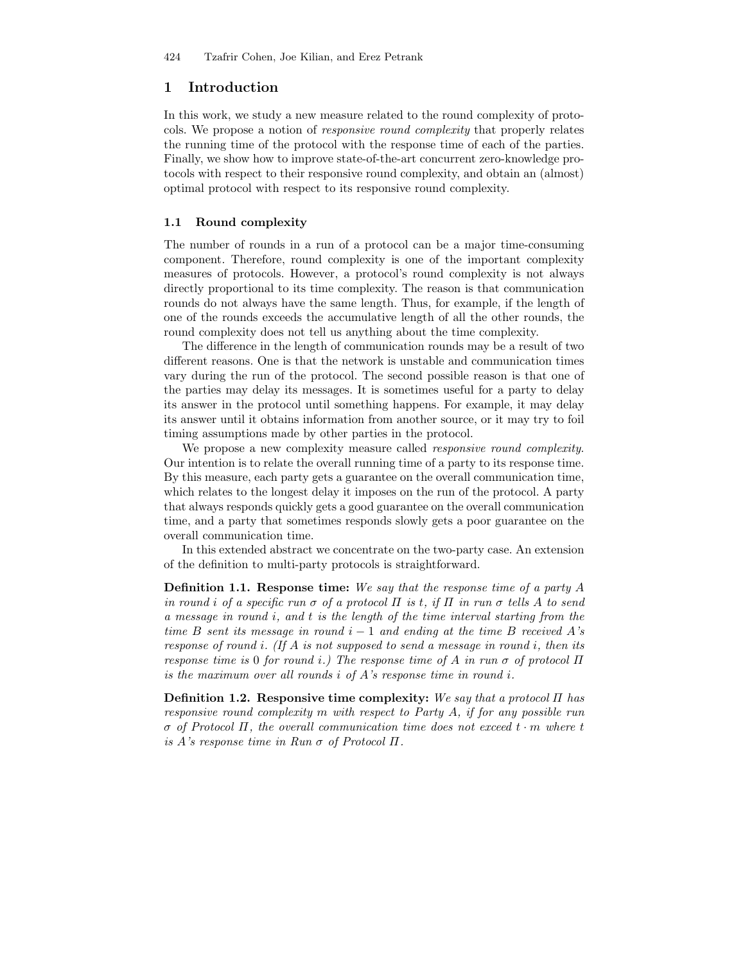# 1 Introduction

In this work, we study a new measure related to the round complexity of protocols. We propose a notion of responsive round complexity that properly relates the running time of the protocol with the response time of each of the parties. Finally, we show how to improve state-of-the-art concurrent zero-knowledge protocols with respect to their responsive round complexity, and obtain an (almost) optimal protocol with respect to its responsive round complexity.

## 1.1 Round complexity

The number of rounds in a run of a protocol can be a major time-consuming component. Therefore, round complexity is one of the important complexity measures of protocols. However, a protocol's round complexity is not always directly proportional to its time complexity. The reason is that communication rounds do not always have the same length. Thus, for example, if the length of one of the rounds exceeds the accumulative length of all the other rounds, the round complexity does not tell us anything about the time complexity.

The difference in the length of communication rounds may be a result of two different reasons. One is that the network is unstable and communication times vary during the run of the protocol. The second possible reason is that one of the parties may delay its messages. It is sometimes useful for a party to delay its answer in the protocol until something happens. For example, it may delay its answer until it obtains information from another source, or it may try to foil timing assumptions made by other parties in the protocol.

We propose a new complexity measure called responsive round complexity. Our intention is to relate the overall running time of a party to its response time. By this measure, each party gets a guarantee on the overall communication time, which relates to the longest delay it imposes on the run of the protocol. A party that always responds quickly gets a good guarantee on the overall communication time, and a party that sometimes responds slowly gets a poor guarantee on the overall communication time.

In this extended abstract we concentrate on the two-party case. An extension of the definition to multi-party protocols is straightforward.

Definition 1.1. Response time: We say that the response time of a party A in round i of a specific run  $\sigma$  of a protocol  $\Pi$  is t, if  $\Pi$  in run  $\sigma$  tells A to send a message in round i, and t is the length of the time interval starting from the time B sent its message in round  $i-1$  and ending at the time B received A's response of round i. (If A is not supposed to send a message in round i, then its response time is 0 for round i.) The response time of A in run  $\sigma$  of protocol  $\Pi$ is the maximum over all rounds i of A's response time in round i.

Definition 1.2. Responsive time complexity: We say that a protocol  $\Pi$  has responsive round complexity m with respect to Party A, if for any possible run  $\sigma$  of Protocol  $\Pi$ , the overall communication time does not exceed  $t \cdot m$  where t is A's response time in Run  $\sigma$  of Protocol  $\Pi$ .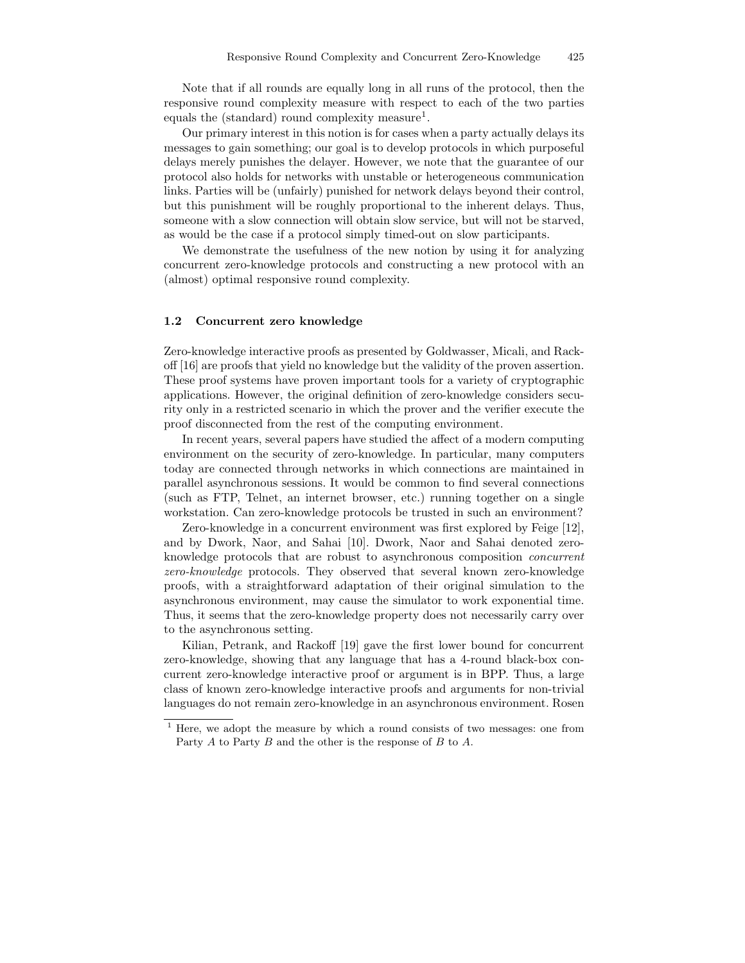Note that if all rounds are equally long in all runs of the protocol, then the responsive round complexity measure with respect to each of the two parties equals the (standard) round complexity measure<sup>1</sup>.

Our primary interest in this notion is for cases when a party actually delays its messages to gain something; our goal is to develop protocols in which purposeful delays merely punishes the delayer. However, we note that the guarantee of our protocol also holds for networks with unstable or heterogeneous communication links. Parties will be (unfairly) punished for network delays beyond their control, but this punishment will be roughly proportional to the inherent delays. Thus, someone with a slow connection will obtain slow service, but will not be starved, as would be the case if a protocol simply timed-out on slow participants.

We demonstrate the usefulness of the new notion by using it for analyzing concurrent zero-knowledge protocols and constructing a new protocol with an (almost) optimal responsive round complexity.

## 1.2 Concurrent zero knowledge

Zero-knowledge interactive proofs as presented by Goldwasser, Micali, and Rackoff [16] are proofs that yield no knowledge but the validity of the proven assertion. These proof systems have proven important tools for a variety of cryptographic applications. However, the original definition of zero-knowledge considers security only in a restricted scenario in which the prover and the verifier execute the proof disconnected from the rest of the computing environment.

In recent years, several papers have studied the affect of a modern computing environment on the security of zero-knowledge. In particular, many computers today are connected through networks in which connections are maintained in parallel asynchronous sessions. It would be common to find several connections (such as FTP, Telnet, an internet browser, etc.) running together on a single workstation. Can zero-knowledge protocols be trusted in such an environment?

Zero-knowledge in a concurrent environment was first explored by Feige [12], and by Dwork, Naor, and Sahai [10]. Dwork, Naor and Sahai denoted zeroknowledge protocols that are robust to asynchronous composition concurrent zero-knowledge protocols. They observed that several known zero-knowledge proofs, with a straightforward adaptation of their original simulation to the asynchronous environment, may cause the simulator to work exponential time. Thus, it seems that the zero-knowledge property does not necessarily carry over to the asynchronous setting.

Kilian, Petrank, and Rackoff [19] gave the first lower bound for concurrent zero-knowledge, showing that any language that has a 4-round black-box concurrent zero-knowledge interactive proof or argument is in BPP. Thus, a large class of known zero-knowledge interactive proofs and arguments for non-trivial languages do not remain zero-knowledge in an asynchronous environment. Rosen

<sup>1</sup> Here, we adopt the measure by which a round consists of two messages: one from Party A to Party B and the other is the response of B to A.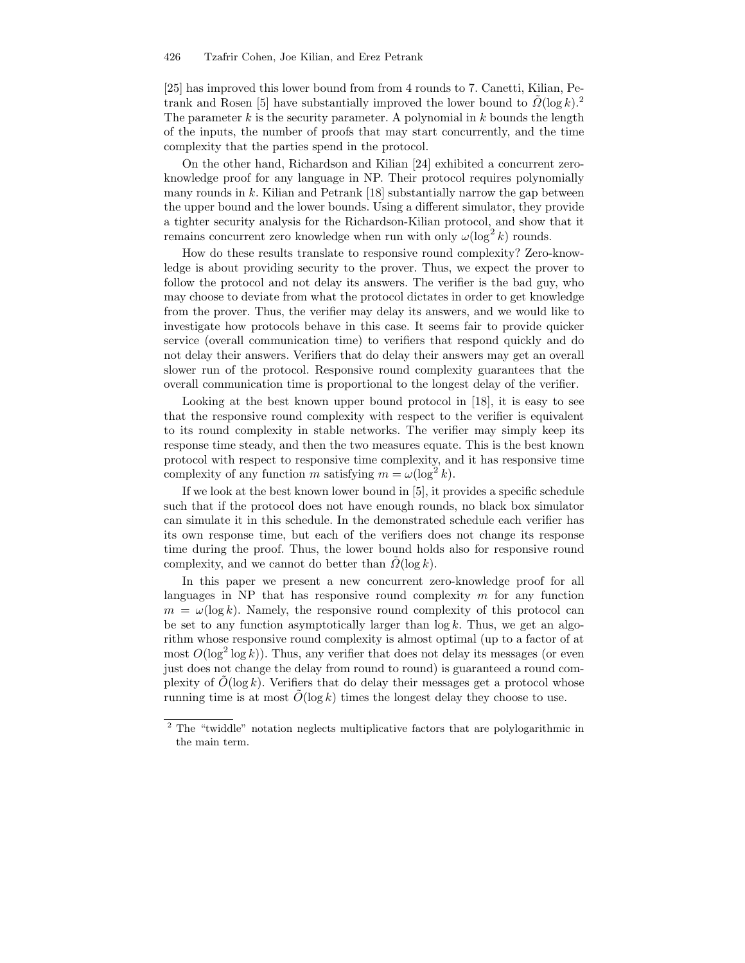[25] has improved this lower bound from from 4 rounds to 7. Canetti, Kilian, Petrank and Rosen [5] have substantially improved the lower bound to  $\Omega(\log k)^2$ . The parameter k is the security parameter. A polynomial in  $k$  bounds the length of the inputs, the number of proofs that may start concurrently, and the time complexity that the parties spend in the protocol.

On the other hand, Richardson and Kilian [24] exhibited a concurrent zeroknowledge proof for any language in NP. Their protocol requires polynomially many rounds in  $k$ . Kilian and Petrank [18] substantially narrow the gap between the upper bound and the lower bounds. Using a different simulator, they provide a tighter security analysis for the Richardson-Kilian protocol, and show that it remains concurrent zero knowledge when run with only  $\omega(\log^2 k)$  rounds.

How do these results translate to responsive round complexity? Zero-knowledge is about providing security to the prover. Thus, we expect the prover to follow the protocol and not delay its answers. The verifier is the bad guy, who may choose to deviate from what the protocol dictates in order to get knowledge from the prover. Thus, the verifier may delay its answers, and we would like to investigate how protocols behave in this case. It seems fair to provide quicker service (overall communication time) to verifiers that respond quickly and do not delay their answers. Verifiers that do delay their answers may get an overall slower run of the protocol. Responsive round complexity guarantees that the overall communication time is proportional to the longest delay of the verifier.

Looking at the best known upper bound protocol in [18], it is easy to see that the responsive round complexity with respect to the verifier is equivalent to its round complexity in stable networks. The verifier may simply keep its response time steady, and then the two measures equate. This is the best known protocol with respect to responsive time complexity, and it has responsive time complexity of any function m satisfying  $m = \omega(\log^2 k)$ .

If we look at the best known lower bound in [5], it provides a specific schedule such that if the protocol does not have enough rounds, no black box simulator can simulate it in this schedule. In the demonstrated schedule each verifier has its own response time, but each of the verifiers does not change its response time during the proof. Thus, the lower bound holds also for responsive round complexity, and we cannot do better than  $\Omega(\log k)$ .

In this paper we present a new concurrent zero-knowledge proof for all languages in NP that has responsive round complexity  $m$  for any function  $m = \omega(\log k)$ . Namely, the responsive round complexity of this protocol can be set to any function asymptotically larger than  $\log k$ . Thus, we get an algorithm whose responsive round complexity is almost optimal (up to a factor of at most  $O(\log^2 \log k)$ ). Thus, any verifier that does not delay its messages (or even just does not change the delay from round to round) is guaranteed a round complexity of  $\tilde{O}(\log k)$ . Verifiers that do delay their messages get a protocol whose running time is at most  $O(\log k)$  times the longest delay they choose to use.

<sup>&</sup>lt;sup>2</sup> The "twiddle" notation neglects multiplicative factors that are polylogarithmic in the main term.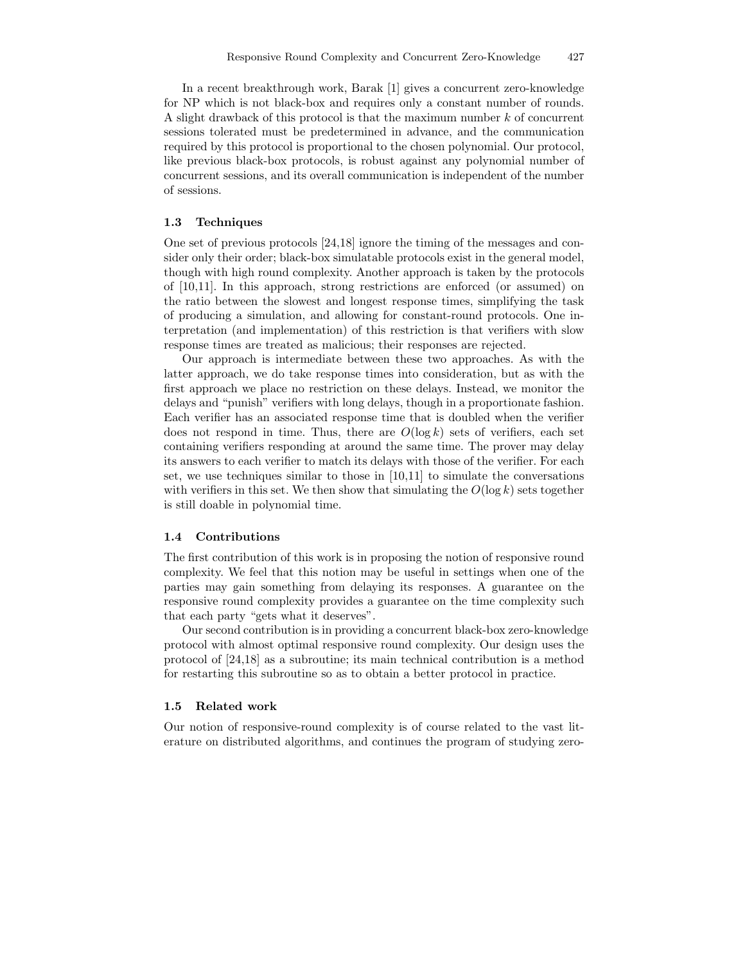In a recent breakthrough work, Barak [1] gives a concurrent zero-knowledge for NP which is not black-box and requires only a constant number of rounds. A slight drawback of this protocol is that the maximum number k of concurrent sessions tolerated must be predetermined in advance, and the communication required by this protocol is proportional to the chosen polynomial. Our protocol, like previous black-box protocols, is robust against any polynomial number of concurrent sessions, and its overall communication is independent of the number of sessions.

## 1.3 Techniques

One set of previous protocols [24,18] ignore the timing of the messages and consider only their order; black-box simulatable protocols exist in the general model, though with high round complexity. Another approach is taken by the protocols of [10,11]. In this approach, strong restrictions are enforced (or assumed) on the ratio between the slowest and longest response times, simplifying the task of producing a simulation, and allowing for constant-round protocols. One interpretation (and implementation) of this restriction is that verifiers with slow response times are treated as malicious; their responses are rejected.

Our approach is intermediate between these two approaches. As with the latter approach, we do take response times into consideration, but as with the first approach we place no restriction on these delays. Instead, we monitor the delays and "punish" verifiers with long delays, though in a proportionate fashion. Each verifier has an associated response time that is doubled when the verifier does not respond in time. Thus, there are  $O(\log k)$  sets of verifiers, each set containing verifiers responding at around the same time. The prover may delay its answers to each verifier to match its delays with those of the verifier. For each set, we use techniques similar to those in [10,11] to simulate the conversations with verifiers in this set. We then show that simulating the  $O(\log k)$  sets together is still doable in polynomial time.

## 1.4 Contributions

The first contribution of this work is in proposing the notion of responsive round complexity. We feel that this notion may be useful in settings when one of the parties may gain something from delaying its responses. A guarantee on the responsive round complexity provides a guarantee on the time complexity such that each party "gets what it deserves".

Our second contribution is in providing a concurrent black-box zero-knowledge protocol with almost optimal responsive round complexity. Our design uses the protocol of [24,18] as a subroutine; its main technical contribution is a method for restarting this subroutine so as to obtain a better protocol in practice.

#### 1.5 Related work

Our notion of responsive-round complexity is of course related to the vast literature on distributed algorithms, and continues the program of studying zero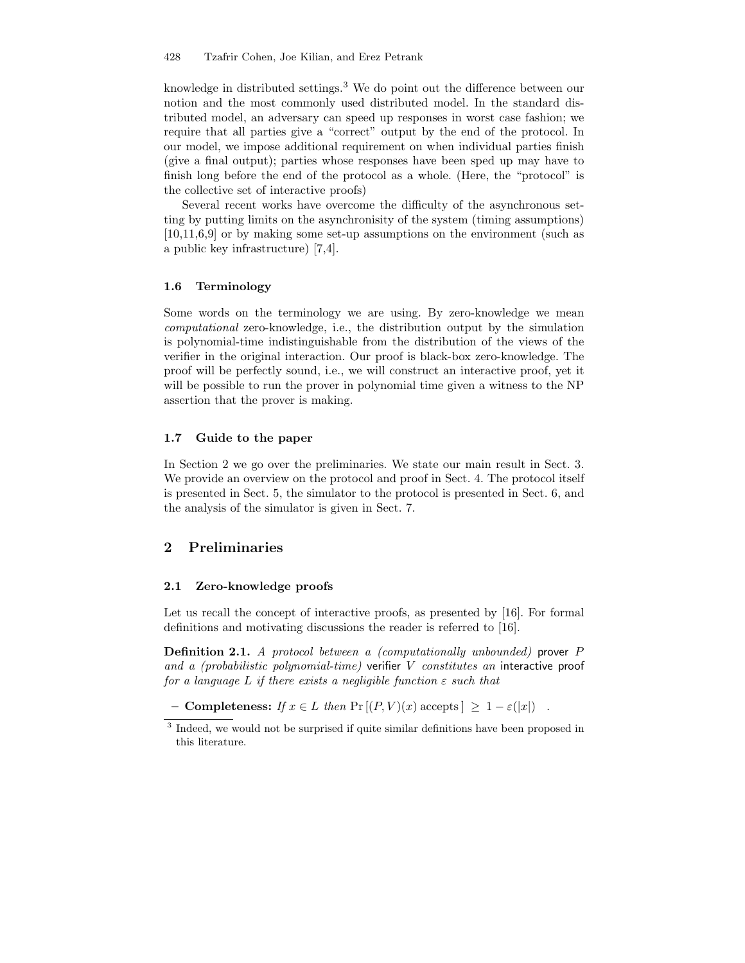knowledge in distributed settings.<sup>3</sup> We do point out the difference between our notion and the most commonly used distributed model. In the standard distributed model, an adversary can speed up responses in worst case fashion; we require that all parties give a "correct" output by the end of the protocol. In our model, we impose additional requirement on when individual parties finish (give a final output); parties whose responses have been sped up may have to finish long before the end of the protocol as a whole. (Here, the "protocol" is the collective set of interactive proofs)

Several recent works have overcome the difficulty of the asynchronous setting by putting limits on the asynchronisity of the system (timing assumptions) [10,11,6,9] or by making some set-up assumptions on the environment (such as a public key infrastructure) [7,4].

#### 1.6 Terminology

Some words on the terminology we are using. By zero-knowledge we mean computational zero-knowledge, i.e., the distribution output by the simulation is polynomial-time indistinguishable from the distribution of the views of the verifier in the original interaction. Our proof is black-box zero-knowledge. The proof will be perfectly sound, i.e., we will construct an interactive proof, yet it will be possible to run the prover in polynomial time given a witness to the NP assertion that the prover is making.

#### 1.7 Guide to the paper

In Section 2 we go over the preliminaries. We state our main result in Sect. 3. We provide an overview on the protocol and proof in Sect. 4. The protocol itself is presented in Sect. 5, the simulator to the protocol is presented in Sect. 6, and the analysis of the simulator is given in Sect. 7.

# 2 Preliminaries

## 2.1 Zero-knowledge proofs

Let us recall the concept of interactive proofs, as presented by [16]. For formal definitions and motivating discussions the reader is referred to [16].

Definition 2.1. A protocol between a (computationally unbounded) prover P and a (probabilistic polynomial-time) verifier V constitutes an interactive proof for a language L if there exists a negligible function  $\varepsilon$  such that

– **Completeness:** If  $x \in L$  then  $Pr[(P, V)(x)$  accepts  $] \geq 1 - \varepsilon(|x|)$ .

<sup>&</sup>lt;sup>3</sup> Indeed, we would not be surprised if quite similar definitions have been proposed in this literature.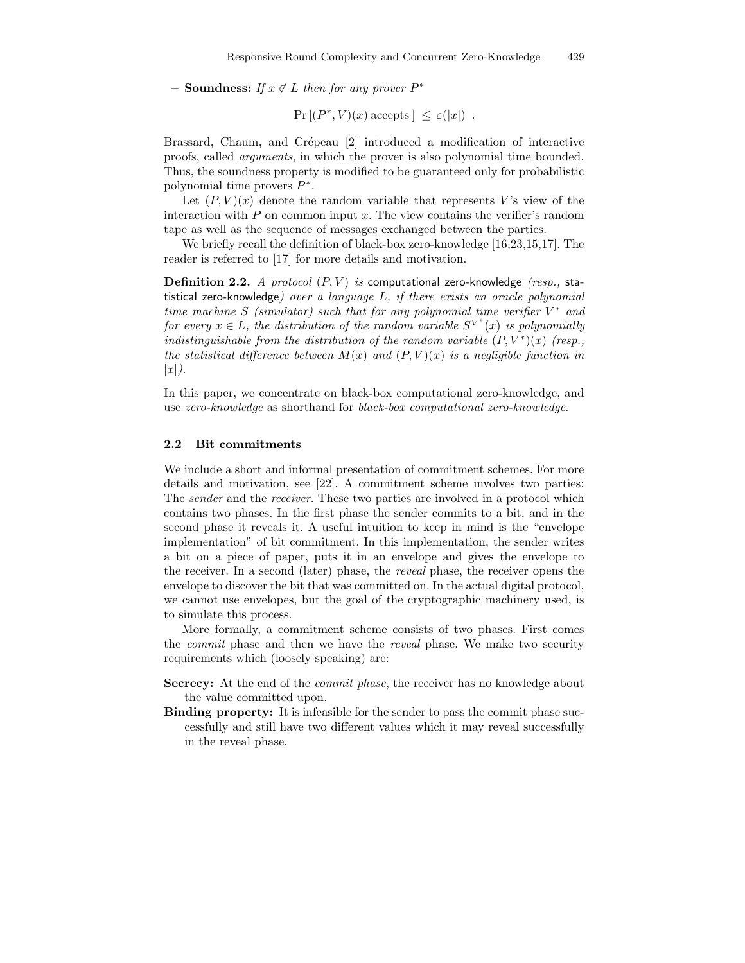$-$  Soundness: If  $x \notin L$  then for any prover  $P^*$ 

$$
Pr[(P^*, V)(x) accepts] \le \varepsilon(|x|) .
$$

Brassard, Chaum, and Crépeau [2] introduced a modification of interactive proofs, called arguments, in which the prover is also polynomial time bounded. Thus, the soundness property is modified to be guaranteed only for probabilistic polynomial time provers  $P^*$ .

Let  $(P, V)(x)$  denote the random variable that represents V's view of the interaction with  $P$  on common input  $x$ . The view contains the verifier's random tape as well as the sequence of messages exchanged between the parties.

We briefly recall the definition of black-box zero-knowledge [16,23,15,17]. The reader is referred to [17] for more details and motivation.

**Definition 2.2.** A protocol  $(P, V)$  is computational zero-knowledge (resp., statistical zero-knowledge) over a language  $L$ , if there exists an oracle polynomial time machine S (simulator) such that for any polynomial time verifier  $V^*$  and for every  $x \in L$ , the distribution of the random variable  $S^{V^*}(x)$  is polynomially indistinguishable from the distribution of the random variable  $(P, V^*)(x)$  (resp., the statistical difference between  $M(x)$  and  $(P, V)(x)$  is a negligible function in  $|x|$ .

In this paper, we concentrate on black-box computational zero-knowledge, and use zero-knowledge as shorthand for black-box computational zero-knowledge.

#### 2.2 Bit commitments

We include a short and informal presentation of commitment schemes. For more details and motivation, see [22]. A commitment scheme involves two parties: The sender and the receiver. These two parties are involved in a protocol which contains two phases. In the first phase the sender commits to a bit, and in the second phase it reveals it. A useful intuition to keep in mind is the "envelope implementation" of bit commitment. In this implementation, the sender writes a bit on a piece of paper, puts it in an envelope and gives the envelope to the receiver. In a second (later) phase, the reveal phase, the receiver opens the envelope to discover the bit that was committed on. In the actual digital protocol, we cannot use envelopes, but the goal of the cryptographic machinery used, is to simulate this process.

More formally, a commitment scheme consists of two phases. First comes the commit phase and then we have the reveal phase. We make two security requirements which (loosely speaking) are:

- Secrecy: At the end of the *commit phase*, the receiver has no knowledge about the value committed upon.
- Binding property: It is infeasible for the sender to pass the commit phase successfully and still have two different values which it may reveal successfully in the reveal phase.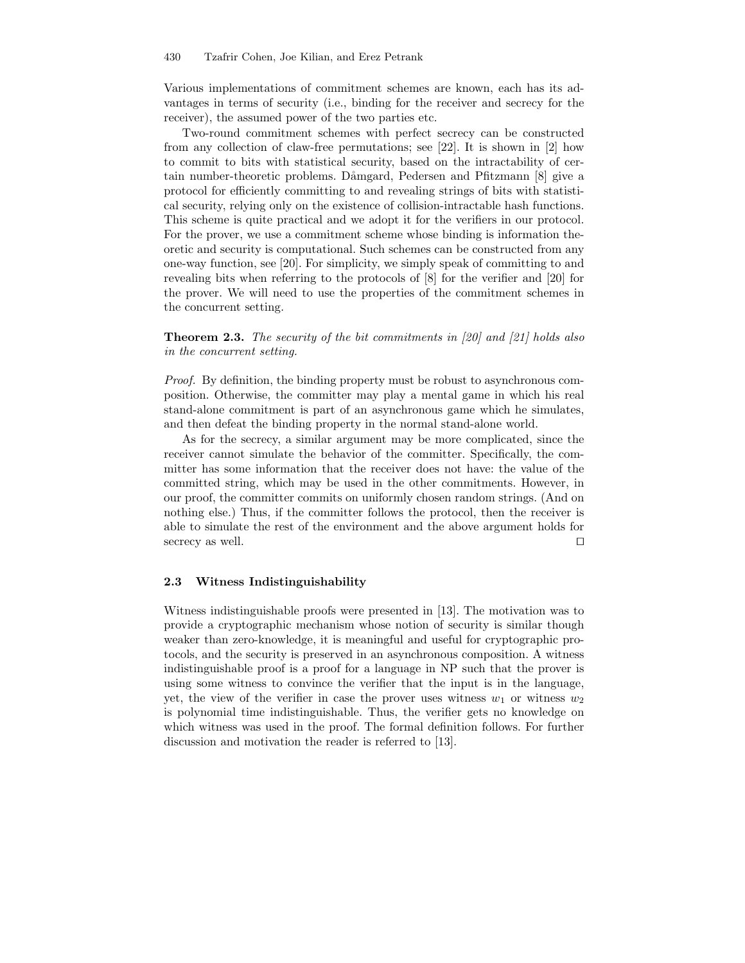Various implementations of commitment schemes are known, each has its advantages in terms of security (i.e., binding for the receiver and secrecy for the receiver), the assumed power of the two parties etc.

Two-round commitment schemes with perfect secrecy can be constructed from any collection of claw-free permutations; see [22]. It is shown in [2] how to commit to bits with statistical security, based on the intractability of certain number-theoretic problems. Dåmgard, Pedersen and Pfitzmann [8] give a protocol for efficiently committing to and revealing strings of bits with statistical security, relying only on the existence of collision-intractable hash functions. This scheme is quite practical and we adopt it for the verifiers in our protocol. For the prover, we use a commitment scheme whose binding is information theoretic and security is computational. Such schemes can be constructed from any one-way function, see [20]. For simplicity, we simply speak of committing to and revealing bits when referring to the protocols of [8] for the verifier and [20] for the prover. We will need to use the properties of the commitment schemes in the concurrent setting.

**Theorem 2.3.** The security of the bit commitments in  $[20]$  and  $[21]$  holds also in the concurrent setting.

Proof. By definition, the binding property must be robust to asynchronous composition. Otherwise, the committer may play a mental game in which his real stand-alone commitment is part of an asynchronous game which he simulates, and then defeat the binding property in the normal stand-alone world.

As for the secrecy, a similar argument may be more complicated, since the receiver cannot simulate the behavior of the committer. Specifically, the committer has some information that the receiver does not have: the value of the committed string, which may be used in the other commitments. However, in our proof, the committer commits on uniformly chosen random strings. (And on nothing else.) Thus, if the committer follows the protocol, then the receiver is able to simulate the rest of the environment and the above argument holds for secrecy as well.  $\Box$ 

## 2.3 Witness Indistinguishability

Witness indistinguishable proofs were presented in [13]. The motivation was to provide a cryptographic mechanism whose notion of security is similar though weaker than zero-knowledge, it is meaningful and useful for cryptographic protocols, and the security is preserved in an asynchronous composition. A witness indistinguishable proof is a proof for a language in NP such that the prover is using some witness to convince the verifier that the input is in the language, yet, the view of the verifier in case the prover uses witness  $w_1$  or witness  $w_2$ is polynomial time indistinguishable. Thus, the verifier gets no knowledge on which witness was used in the proof. The formal definition follows. For further discussion and motivation the reader is referred to [13].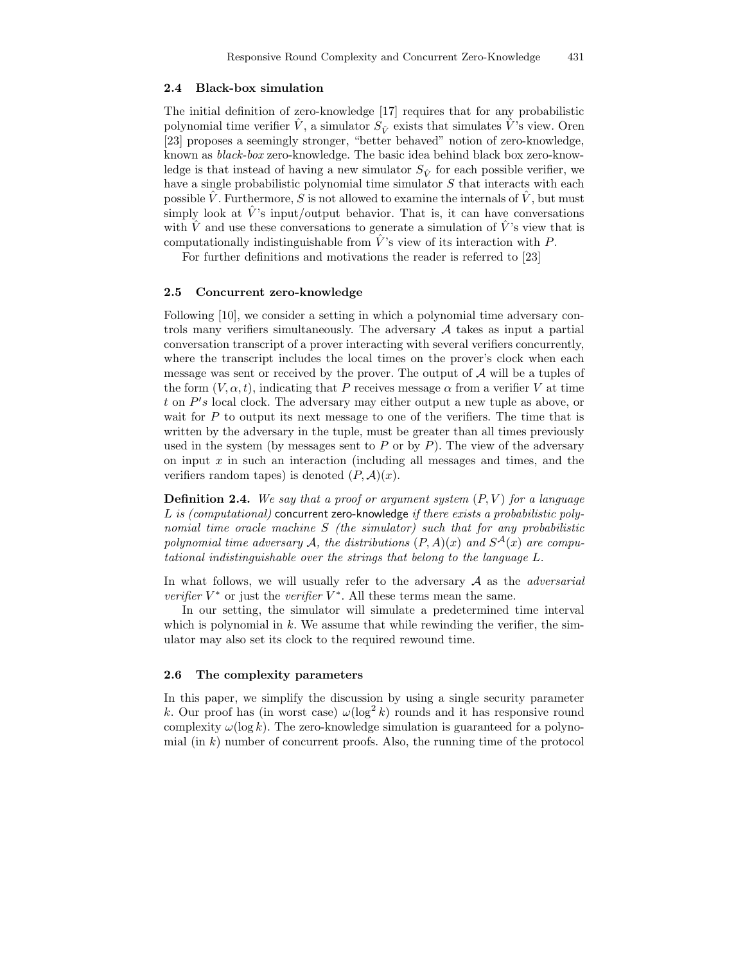#### 2.4 Black-box simulation

The initial definition of zero-knowledge [17] requires that for any probabilistic polynomial time verifier  $\hat{V}$ , a simulator  $S_{\hat{V}}$  exists that simulates  $\hat{V}$ 's view. Oren [23] proposes a seemingly stronger, "better behaved" notion of zero-knowledge, known as black-box zero-knowledge. The basic idea behind black box zero-knowledge is that instead of having a new simulator  $S_{\hat{V}}$  for each possible verifier, we have a single probabilistic polynomial time simulator S that interacts with each possible  $\hat{V}$ . Furthermore, S is not allowed to examine the internals of  $\hat{V}$ , but must simply look at  $\hat{V}$ 's input/output behavior. That is, it can have conversations with  $\hat{V}$  and use these conversations to generate a simulation of  $\hat{V}$ 's view that is computationally indistinguishable from  $\hat{V}$ 's view of its interaction with P.

For further definitions and motivations the reader is referred to [23]

### 2.5 Concurrent zero-knowledge

Following [10], we consider a setting in which a polynomial time adversary controls many verifiers simultaneously. The adversary  $A$  takes as input a partial conversation transcript of a prover interacting with several verifiers concurrently, where the transcript includes the local times on the prover's clock when each message was sent or received by the prover. The output of  $A$  will be a tuples of the form  $(V, \alpha, t)$ , indicating that P receives message  $\alpha$  from a verifier V at time  $t$  on  $P's$  local clock. The adversary may either output a new tuple as above, or wait for P to output its next message to one of the verifiers. The time that is written by the adversary in the tuple, must be greater than all times previously used in the system (by messages sent to P or by P). The view of the adversary on input  $x$  in such an interaction (including all messages and times, and the verifiers random tapes) is denoted  $(P, \mathcal{A})(x)$ .

**Definition 2.4.** We say that a proof or argument system  $(P, V)$  for a language L is (computational) concurrent zero-knowledge if there exists a probabilistic polynomial time oracle machine  $S$  (the simulator) such that for any probabilistic polynomial time adversary A, the distributions  $(P, A)(x)$  and  $S^{\mathcal{A}}(x)$  are computational indistinguishable over the strings that belong to the language L.

In what follows, we will usually refer to the adversary  $A$  as the *adversarial* verifier  $V^*$  or just the verifier  $V^*$ . All these terms mean the same.

In our setting, the simulator will simulate a predetermined time interval which is polynomial in  $k$ . We assume that while rewinding the verifier, the simulator may also set its clock to the required rewound time.

#### 2.6 The complexity parameters

In this paper, we simplify the discussion by using a single security parameter k. Our proof has (in worst case)  $\omega(\log^2 k)$  rounds and it has responsive round complexity  $\omega(\log k)$ . The zero-knowledge simulation is guaranteed for a polynomial (in  $k$ ) number of concurrent proofs. Also, the running time of the protocol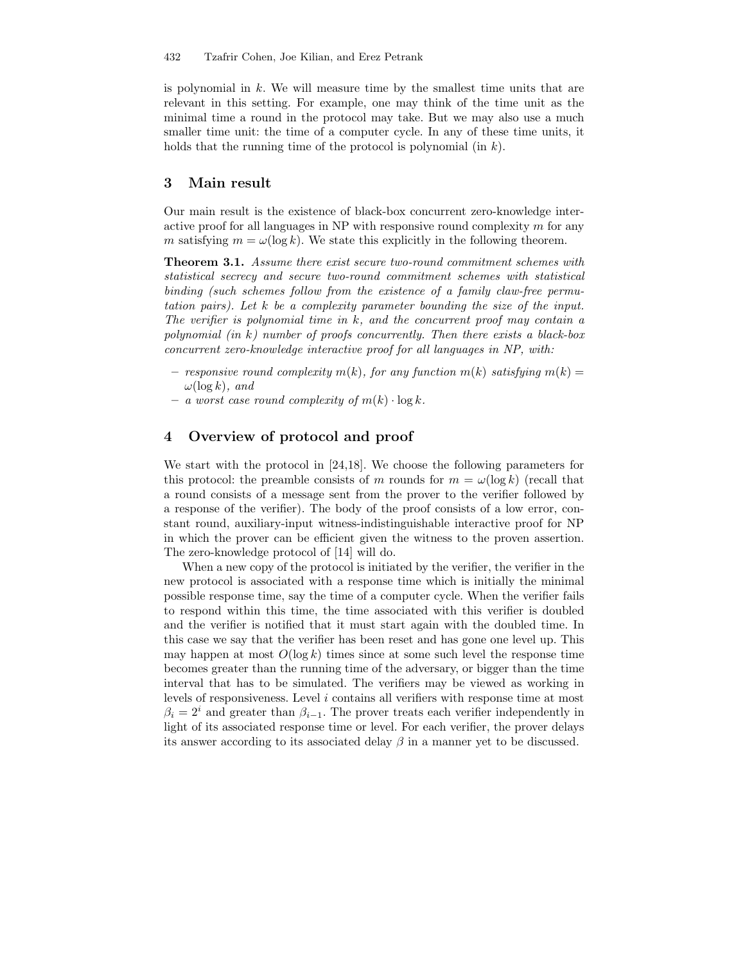is polynomial in  $k$ . We will measure time by the smallest time units that are relevant in this setting. For example, one may think of the time unit as the minimal time a round in the protocol may take. But we may also use a much smaller time unit: the time of a computer cycle. In any of these time units, it holds that the running time of the protocol is polynomial (in  $k$ ).

# 3 Main result

Our main result is the existence of black-box concurrent zero-knowledge interactive proof for all languages in NP with responsive round complexity  $m$  for any m satisfying  $m = \omega(\log k)$ . We state this explicitly in the following theorem.

**Theorem 3.1.** Assume there exist secure two-round commitment schemes with statistical secrecy and secure two-round commitment schemes with statistical binding (such schemes follow from the existence of a family claw-free permutation pairs). Let k be a complexity parameter bounding the size of the input. The verifier is polynomial time in  $k$ , and the concurrent proof may contain a polynomial (in  $k$ ) number of proofs concurrently. Then there exists a black-box concurrent zero-knowledge interactive proof for all languages in NP, with:

- responsive round complexity  $m(k)$ , for any function  $m(k)$  satisfying  $m(k)$  $\omega(\log k)$ , and
- a worst case round complexity of  $m(k) \cdot \log k$ .

# 4 Overview of protocol and proof

We start with the protocol in [24,18]. We choose the following parameters for this protocol: the preamble consists of m rounds for  $m = \omega(\log k)$  (recall that a round consists of a message sent from the prover to the verifier followed by a response of the verifier). The body of the proof consists of a low error, constant round, auxiliary-input witness-indistinguishable interactive proof for NP in which the prover can be efficient given the witness to the proven assertion. The zero-knowledge protocol of [14] will do.

When a new copy of the protocol is initiated by the verifier, the verifier in the new protocol is associated with a response time which is initially the minimal possible response time, say the time of a computer cycle. When the verifier fails to respond within this time, the time associated with this verifier is doubled and the verifier is notified that it must start again with the doubled time. In this case we say that the verifier has been reset and has gone one level up. This may happen at most  $O(\log k)$  times since at some such level the response time becomes greater than the running time of the adversary, or bigger than the time interval that has to be simulated. The verifiers may be viewed as working in levels of responsiveness. Level i contains all verifiers with response time at most  $\beta_i = 2^i$  and greater than  $\beta_{i-1}$ . The prover treats each verifier independently in light of its associated response time or level. For each verifier, the prover delays its answer according to its associated delay  $\beta$  in a manner yet to be discussed.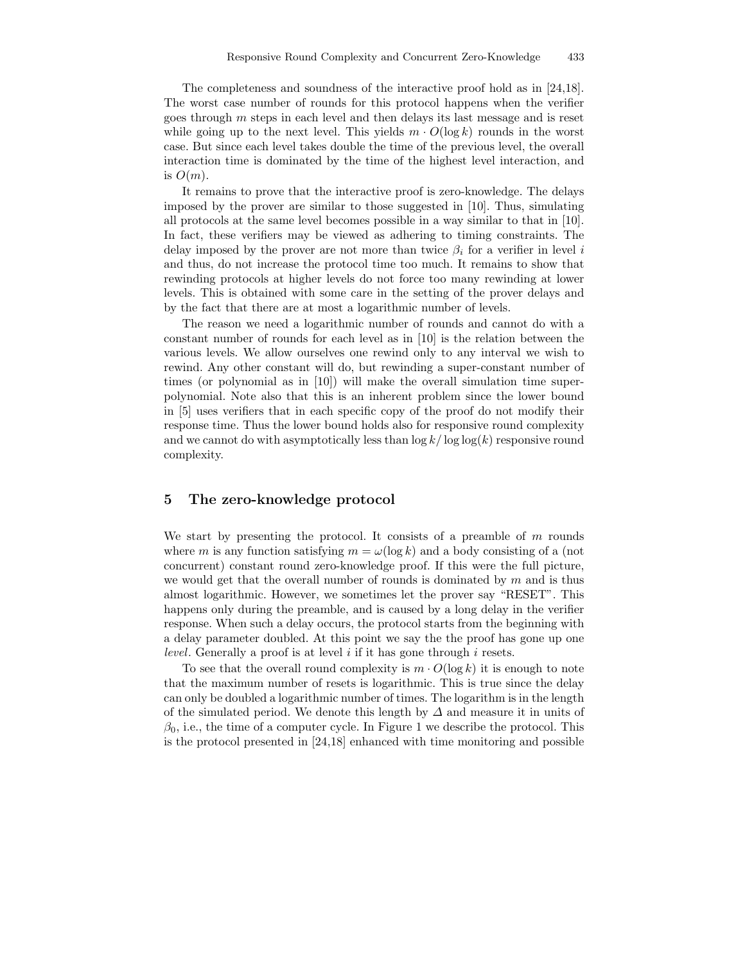The completeness and soundness of the interactive proof hold as in [24,18]. The worst case number of rounds for this protocol happens when the verifier goes through m steps in each level and then delays its last message and is reset while going up to the next level. This yields  $m \cdot O(\log k)$  rounds in the worst case. But since each level takes double the time of the previous level, the overall interaction time is dominated by the time of the highest level interaction, and is  $O(m)$ .

It remains to prove that the interactive proof is zero-knowledge. The delays imposed by the prover are similar to those suggested in [10]. Thus, simulating all protocols at the same level becomes possible in a way similar to that in [10]. In fact, these verifiers may be viewed as adhering to timing constraints. The delay imposed by the prover are not more than twice  $\beta_i$  for a verifier in level i and thus, do not increase the protocol time too much. It remains to show that rewinding protocols at higher levels do not force too many rewinding at lower levels. This is obtained with some care in the setting of the prover delays and by the fact that there are at most a logarithmic number of levels.

The reason we need a logarithmic number of rounds and cannot do with a constant number of rounds for each level as in [10] is the relation between the various levels. We allow ourselves one rewind only to any interval we wish to rewind. Any other constant will do, but rewinding a super-constant number of times (or polynomial as in [10]) will make the overall simulation time superpolynomial. Note also that this is an inherent problem since the lower bound in [5] uses verifiers that in each specific copy of the proof do not modify their response time. Thus the lower bound holds also for responsive round complexity and we cannot do with asymptotically less than  $\log k / \log \log(k)$  responsive round complexity.

# 5 The zero-knowledge protocol

We start by presenting the protocol. It consists of a preamble of  $m$  rounds where m is any function satisfying  $m = \omega(\log k)$  and a body consisting of a (not concurrent) constant round zero-knowledge proof. If this were the full picture, we would get that the overall number of rounds is dominated by  $m$  and is thus almost logarithmic. However, we sometimes let the prover say "RESET". This happens only during the preamble, and is caused by a long delay in the verifier response. When such a delay occurs, the protocol starts from the beginning with a delay parameter doubled. At this point we say the the proof has gone up one *level.* Generally a proof is at level  $i$  if it has gone through  $i$  resets.

To see that the overall round complexity is  $m \cdot O(\log k)$  it is enough to note that the maximum number of resets is logarithmic. This is true since the delay can only be doubled a logarithmic number of times. The logarithm is in the length of the simulated period. We denote this length by  $\Delta$  and measure it in units of  $\beta_0$ , i.e., the time of a computer cycle. In Figure 1 we describe the protocol. This is the protocol presented in [24,18] enhanced with time monitoring and possible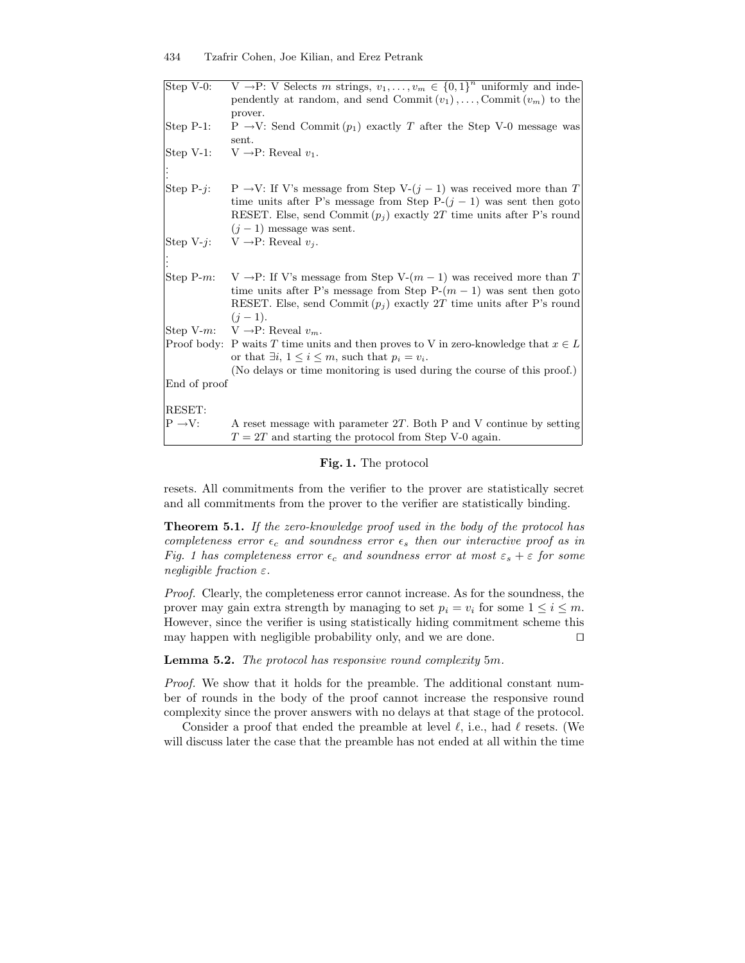| Step V-0:           | V $\rightarrow$ P: V Selects m strings, $v_1, \ldots, v_m \in \{0,1\}^n$ uniformly and inde-<br>pendently at random, and send Commit $(v_1), \ldots,$ Commit $(v_m)$ to the                                                                                   |
|---------------------|---------------------------------------------------------------------------------------------------------------------------------------------------------------------------------------------------------------------------------------------------------------|
|                     | prover.                                                                                                                                                                                                                                                       |
| $Step P-1$ :        | P $\rightarrow$ V: Send Commit (p <sub>1</sub> ) exactly T after the Step V-0 message was<br>sent.                                                                                                                                                            |
| Step $V-1$ :        | V $\rightarrow$ P: Reveal $v_1$ .                                                                                                                                                                                                                             |
|                     |                                                                                                                                                                                                                                                               |
| Step $P-j$ :        | P $\rightarrow$ V: If V's message from Step V- $(j-1)$ was received more than T<br>time units after P's message from Step $P-(j-1)$ was sent then goto<br>RESET. Else, send Commit $(p_j)$ exactly 2T time units after P's round<br>$(j-1)$ message was sent. |
| Step $V-j$ :        | $V \rightarrow P$ : Reveal $v_i$ .                                                                                                                                                                                                                            |
|                     |                                                                                                                                                                                                                                                               |
| Step $P-m$ :        | V $\rightarrow$ P: If V's message from Step V-(m - 1) was received more than T<br>time units after P's message from Step $P-(m-1)$ was sent then goto<br>RESET. Else, send Commit $(p_j)$ exactly 2T time units after P's round<br>$(j-1).$                   |
|                     | Step V-m: $V \rightarrow P$ : Reveal $v_m$ .                                                                                                                                                                                                                  |
|                     | Proof body: P waits T time units and then proves to V in zero-knowledge that $x \in L$<br>or that $\exists i, 1 \leq i \leq m$ , such that $p_i = v_i$ .                                                                                                      |
|                     | (No delays or time monitoring is used during the course of this proof.)                                                                                                                                                                                       |
| End of proof        |                                                                                                                                                                                                                                                               |
| RESET:              |                                                                                                                                                                                                                                                               |
| $P \rightarrow V$ : | A reset message with parameter $2T$ . Both P and V continue by setting<br>$T = 2T$ and starting the protocol from Step V-0 again.                                                                                                                             |

#### Fig. 1. The protocol

resets. All commitments from the verifier to the prover are statistically secret and all commitments from the prover to the verifier are statistically binding.

Theorem 5.1. If the zero-knowledge proof used in the body of the protocol has completeness error  $\epsilon_c$  and soundness error  $\epsilon_s$  then our interactive proof as in Fig. 1 has completeness error  $\epsilon_c$  and soundness error at most  $\varepsilon_s + \varepsilon$  for some negligible fraction  $\varepsilon$ .

Proof. Clearly, the completeness error cannot increase. As for the soundness, the prover may gain extra strength by managing to set  $p_i = v_i$  for some  $1 \le i \le m$ . However, since the verifier is using statistically hiding commitment scheme this may happen with negligible probability only, and we are done.  $\square$ 

Lemma 5.2. The protocol has responsive round complexity 5m.

Proof. We show that it holds for the preamble. The additional constant number of rounds in the body of the proof cannot increase the responsive round complexity since the prover answers with no delays at that stage of the protocol.

Consider a proof that ended the preamble at level  $\ell$ , i.e., had  $\ell$  resets. (We will discuss later the case that the preamble has not ended at all within the time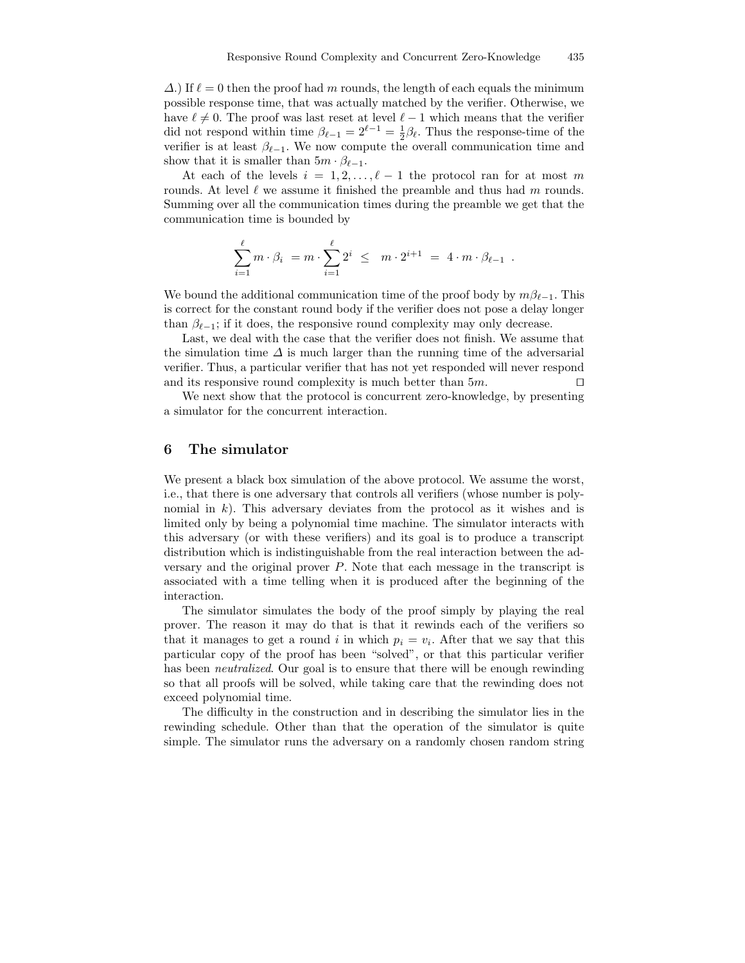$\Delta$ .) If  $\ell = 0$  then the proof had m rounds, the length of each equals the minimum possible response time, that was actually matched by the verifier. Otherwise, we have  $\ell \neq 0$ . The proof was last reset at level  $\ell - 1$  which means that the verifier did not respond within time  $\beta_{\ell-1} = 2^{\ell-1} = \frac{1}{2}\beta_{\ell}$ . Thus the response-time of the verifier is at least  $\beta_{\ell-1}$ . We now compute the overall communication time and show that it is smaller than  $5m \cdot \beta_{\ell-1}$ .

At each of the levels  $i = 1, 2, \ldots, \ell - 1$  the protocol ran for at most m rounds. At level  $\ell$  we assume it finished the preamble and thus had m rounds. Summing over all the communication times during the preamble we get that the communication time is bounded by

$$
\sum_{i=1}^{\ell} m \cdot \beta_i = m \cdot \sum_{i=1}^{\ell} 2^i \leq m \cdot 2^{i+1} = 4 \cdot m \cdot \beta_{\ell-1} .
$$

We bound the additional communication time of the proof body by  $m\beta_{\ell-1}$ . This is correct for the constant round body if the verifier does not pose a delay longer than  $\beta_{\ell-1}$ ; if it does, the responsive round complexity may only decrease.

Last, we deal with the case that the verifier does not finish. We assume that the simulation time  $\Delta$  is much larger than the running time of the adversarial verifier. Thus, a particular verifier that has not yet responded will never respond and its responsive round complexity is much better than  $5m$ .

We next show that the protocol is concurrent zero-knowledge, by presenting a simulator for the concurrent interaction.

# 6 The simulator

We present a black box simulation of the above protocol. We assume the worst, i.e., that there is one adversary that controls all verifiers (whose number is polynomial in  $k$ ). This adversary deviates from the protocol as it wishes and is limited only by being a polynomial time machine. The simulator interacts with this adversary (or with these verifiers) and its goal is to produce a transcript distribution which is indistinguishable from the real interaction between the adversary and the original prover  $P$ . Note that each message in the transcript is associated with a time telling when it is produced after the beginning of the interaction.

The simulator simulates the body of the proof simply by playing the real prover. The reason it may do that is that it rewinds each of the verifiers so that it manages to get a round i in which  $p_i = v_i$ . After that we say that this particular copy of the proof has been "solved", or that this particular verifier has been *neutralized*. Our goal is to ensure that there will be enough rewinding so that all proofs will be solved, while taking care that the rewinding does not exceed polynomial time.

The difficulty in the construction and in describing the simulator lies in the rewinding schedule. Other than that the operation of the simulator is quite simple. The simulator runs the adversary on a randomly chosen random string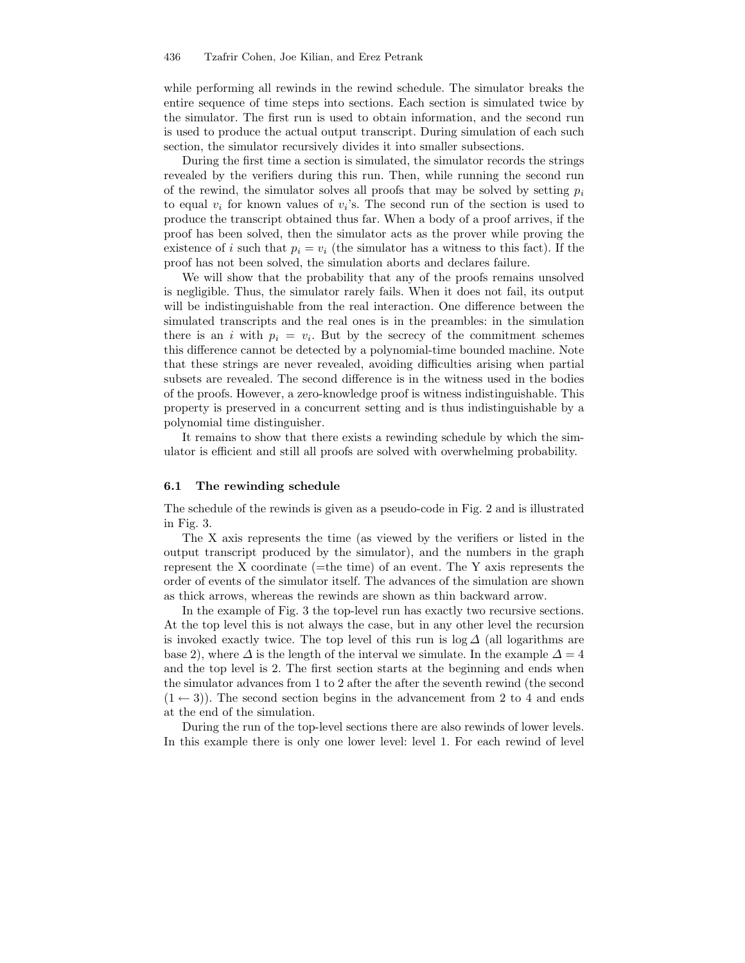while performing all rewinds in the rewind schedule. The simulator breaks the entire sequence of time steps into sections. Each section is simulated twice by the simulator. The first run is used to obtain information, and the second run is used to produce the actual output transcript. During simulation of each such section, the simulator recursively divides it into smaller subsections.

During the first time a section is simulated, the simulator records the strings revealed by the verifiers during this run. Then, while running the second run of the rewind, the simulator solves all proofs that may be solved by setting  $p_i$ to equal  $v_i$  for known values of  $v_i$ 's. The second run of the section is used to produce the transcript obtained thus far. When a body of a proof arrives, if the proof has been solved, then the simulator acts as the prover while proving the existence of i such that  $p_i = v_i$  (the simulator has a witness to this fact). If the proof has not been solved, the simulation aborts and declares failure.

We will show that the probability that any of the proofs remains unsolved is negligible. Thus, the simulator rarely fails. When it does not fail, its output will be indistinguishable from the real interaction. One difference between the simulated transcripts and the real ones is in the preambles: in the simulation there is an i with  $p_i = v_i$ . But by the secrecy of the commitment schemes this difference cannot be detected by a polynomial-time bounded machine. Note that these strings are never revealed, avoiding difficulties arising when partial subsets are revealed. The second difference is in the witness used in the bodies of the proofs. However, a zero-knowledge proof is witness indistinguishable. This property is preserved in a concurrent setting and is thus indistinguishable by a polynomial time distinguisher.

It remains to show that there exists a rewinding schedule by which the simulator is efficient and still all proofs are solved with overwhelming probability.

#### 6.1 The rewinding schedule

The schedule of the rewinds is given as a pseudo-code in Fig. 2 and is illustrated in Fig. 3.

The X axis represents the time (as viewed by the verifiers or listed in the output transcript produced by the simulator), and the numbers in the graph represent the X coordinate (=the time) of an event. The Y axis represents the order of events of the simulator itself. The advances of the simulation are shown as thick arrows, whereas the rewinds are shown as thin backward arrow.

In the example of Fig. 3 the top-level run has exactly two recursive sections. At the top level this is not always the case, but in any other level the recursion is invoked exactly twice. The top level of this run is  $log \Delta$  (all logarithms are base 2), where  $\Delta$  is the length of the interval we simulate. In the example  $\Delta = 4$ and the top level is 2. The first section starts at the beginning and ends when the simulator advances from 1 to 2 after the after the seventh rewind (the second  $(1 \leftarrow 3)$ . The second section begins in the advancement from 2 to 4 and ends at the end of the simulation.

During the run of the top-level sections there are also rewinds of lower levels. In this example there is only one lower level: level 1. For each rewind of level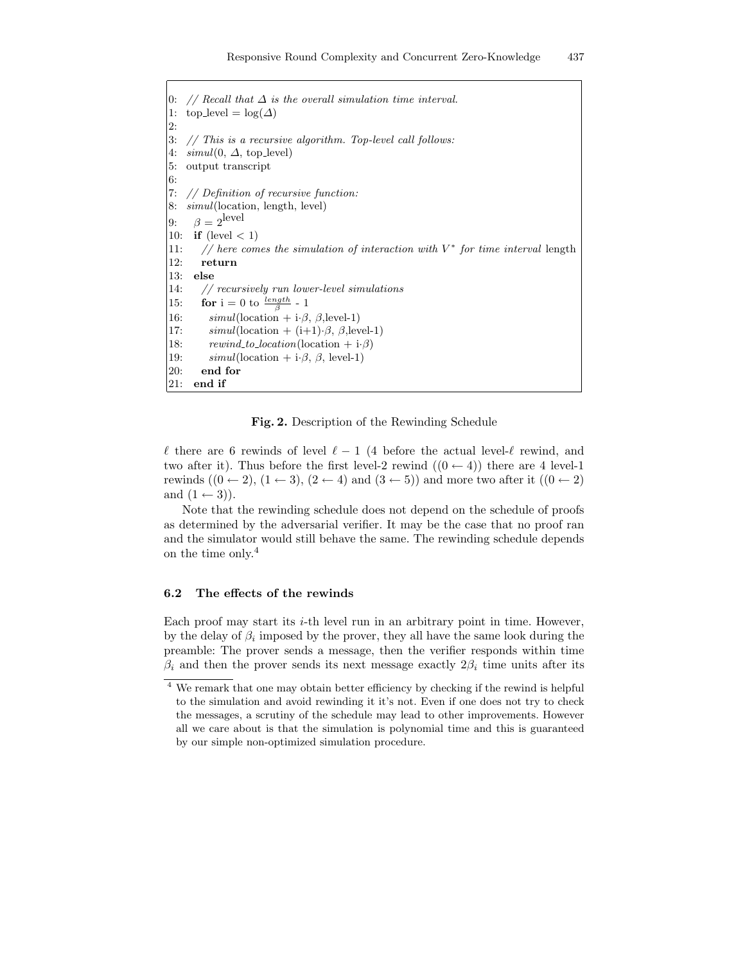0: // Recall that  $\Delta$  is the overall simulation time interval. 1: top\_level =  $log(\Delta)$ 2: 3: // This is a recursive algorithm. Top-level call follows: 4:  $simul(0, \Delta, top-level)$ 5: output transcript 6: 7: // Definition of recursive function: 8: simul(location, length, level) 9:  $\beta = 2^{\text{level}}$ 10: if  $(\text{level} < 1)$ 11: // here comes the simulation of interaction with  $V^*$  for time interval length 12: return 13: else 14: // recursively run lower-level simulations 15: **for** i = 0 to  $\frac{length}{\beta}$  - 1 16:  $simul(location + i \cdot \beta, \beta, level-1)$ 17:  $simul(location + (i+1)\cdot\beta, \beta, level-1)$ 18: rewind to location(location + i· $\beta$ ) 19:  $simul(location + i \cdot \beta, \beta, level-1)$ 20: end for 21: end if

Fig. 2. Description of the Rewinding Schedule

 $\ell$  there are 6 rewinds of level  $\ell - 1$  (4 before the actual level- $\ell$  rewind, and two after it). Thus before the first level-2 rewind  $((0 - 4))$  there are 4 level-1 rewinds  $((0 \leftarrow 2), (1 \leftarrow 3), (2 \leftarrow 4)$  and  $(3 \leftarrow 5)$ ) and more two after it  $((0 \leftarrow 2)$ and  $(1 \leftarrow 3)$ ).

Note that the rewinding schedule does not depend on the schedule of proofs as determined by the adversarial verifier. It may be the case that no proof ran and the simulator would still behave the same. The rewinding schedule depends on the time only. 4

### 6.2 The effects of the rewinds

Each proof may start its  $i$ -th level run in an arbitrary point in time. However, by the delay of  $\beta_i$  imposed by the prover, they all have the same look during the preamble: The prover sends a message, then the verifier responds within time  $\beta_i$  and then the prover sends its next message exactly  $2\beta_i$  time units after its

<sup>4</sup> We remark that one may obtain better efficiency by checking if the rewind is helpful to the simulation and avoid rewinding it it's not. Even if one does not try to check the messages, a scrutiny of the schedule may lead to other improvements. However all we care about is that the simulation is polynomial time and this is guaranteed by our simple non-optimized simulation procedure.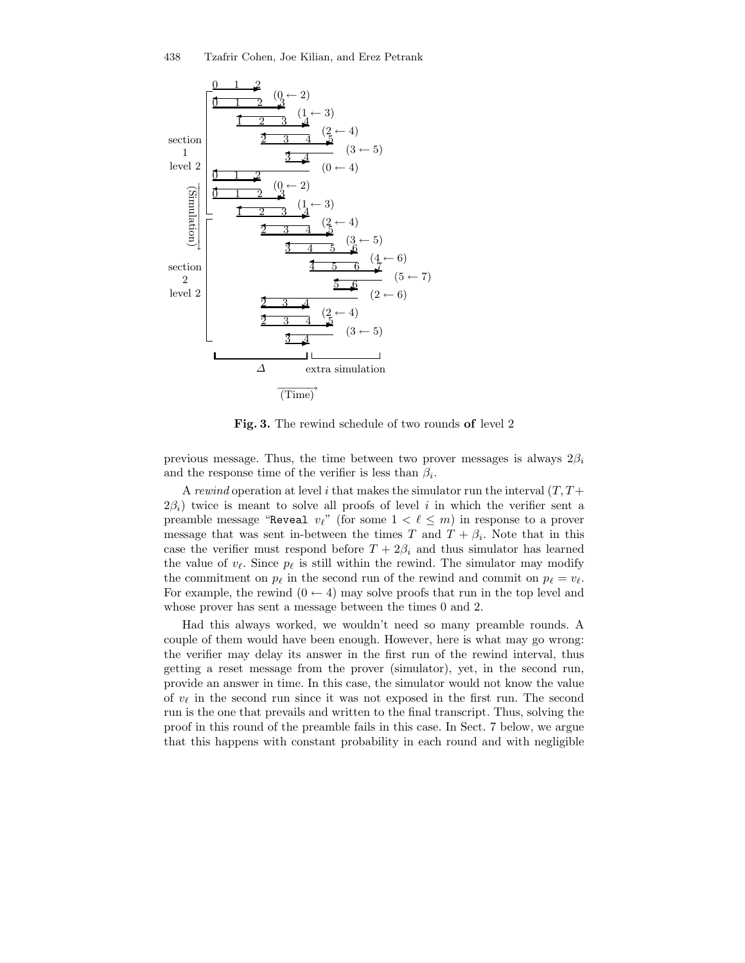

Fig. 3. The rewind schedule of two rounds of level 2

previous message. Thus, the time between two prover messages is always  $2\beta_i$ and the response time of the verifier is less than  $\beta_i$ .

A rewind operation at level i that makes the simulator run the interval  $(T, T)$  $2\beta_i$ ) twice is meant to solve all proofs of level i in which the verifier sent a preamble message "Reveal  $v_{\ell}$ " (for some  $1 < \ell \leq m$ ) in response to a prover message that was sent in-between the times T and  $T + \beta_i$ . Note that in this case the verifier must respond before  $T + 2\beta_i$  and thus simulator has learned the value of  $v_\ell$ . Since  $p_\ell$  is still within the rewind. The simulator may modify the commitment on  $p_\ell$  in the second run of the rewind and commit on  $p_\ell = v_\ell$ . For example, the rewind  $(0 \leftarrow 4)$  may solve proofs that run in the top level and whose prover has sent a message between the times 0 and 2.

Had this always worked, we wouldn't need so many preamble rounds. A couple of them would have been enough. However, here is what may go wrong: the verifier may delay its answer in the first run of the rewind interval, thus getting a reset message from the prover (simulator), yet, in the second run, provide an answer in time. In this case, the simulator would not know the value of  $v_{\ell}$  in the second run since it was not exposed in the first run. The second run is the one that prevails and written to the final transcript. Thus, solving the proof in this round of the preamble fails in this case. In Sect. 7 below, we argue that this happens with constant probability in each round and with negligible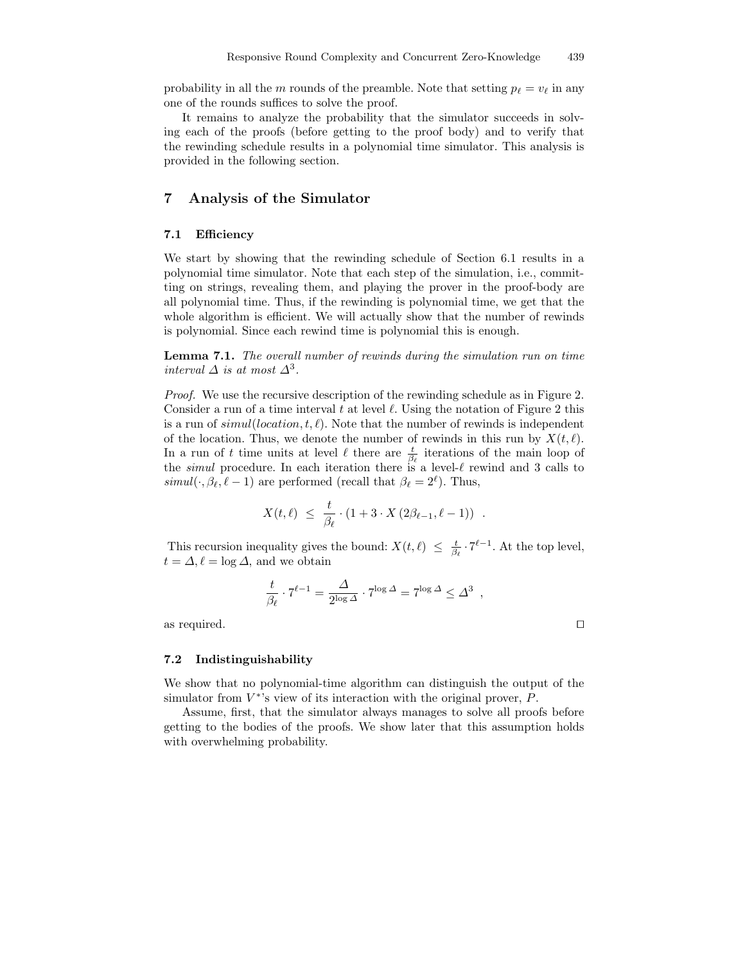probability in all the m rounds of the preamble. Note that setting  $p_\ell = v_\ell$  in any one of the rounds suffices to solve the proof.

It remains to analyze the probability that the simulator succeeds in solving each of the proofs (before getting to the proof body) and to verify that the rewinding schedule results in a polynomial time simulator. This analysis is provided in the following section.

# 7 Analysis of the Simulator

# 7.1 Efficiency

We start by showing that the rewinding schedule of Section 6.1 results in a polynomial time simulator. Note that each step of the simulation, i.e., committing on strings, revealing them, and playing the prover in the proof-body are all polynomial time. Thus, if the rewinding is polynomial time, we get that the whole algorithm is efficient. We will actually show that the number of rewinds is polynomial. Since each rewind time is polynomial this is enough.

Lemma 7.1. The overall number of rewinds during the simulation run on time interval  $\Delta$  is at most  $\Delta^3$ .

Proof. We use the recursive description of the rewinding schedule as in Figure 2. Consider a run of a time interval t at level  $\ell$ . Using the notation of Figure 2 this is a run of  $simul(location, t, l)$ . Note that the number of rewinds is independent of the location. Thus, we denote the number of rewinds in this run by  $X(t, \ell)$ . In a run of t time units at level  $\ell$  there are  $\frac{t}{\beta_{\ell}}$  iterations of the main loop of the *simul* procedure. In each iteration there is a level- $\ell$  rewind and 3 calls to  $simul(\cdot, \beta_{\ell}, \ell - 1)$  are performed (recall that  $\beta_{\ell} = 2^{\ell}$ ). Thus,

$$
X(t,\ell) \leq \frac{t}{\beta_{\ell}} \cdot (1+3 \cdot X(2\beta_{\ell-1}, \ell-1)) \ .
$$

This recursion inequality gives the bound:  $X(t, \ell) \leq \frac{t}{\beta_{\ell}} \cdot 7^{\ell-1}$ . At the top level,  $t = \Delta, \ell = \log \Delta$ , and we obtain

$$
\frac{t}{\beta_{\ell}} \cdot 7^{\ell-1} = \frac{\Delta}{2^{\log \Delta}} \cdot 7^{\log \Delta} = 7^{\log \Delta} \leq \Delta^3 ,
$$

as required.  $\Box$ 

## 7.2 Indistinguishability

We show that no polynomial-time algorithm can distinguish the output of the simulator from  $V^*$ 's view of its interaction with the original prover,  $P$ .

Assume, first, that the simulator always manages to solve all proofs before getting to the bodies of the proofs. We show later that this assumption holds with overwhelming probability.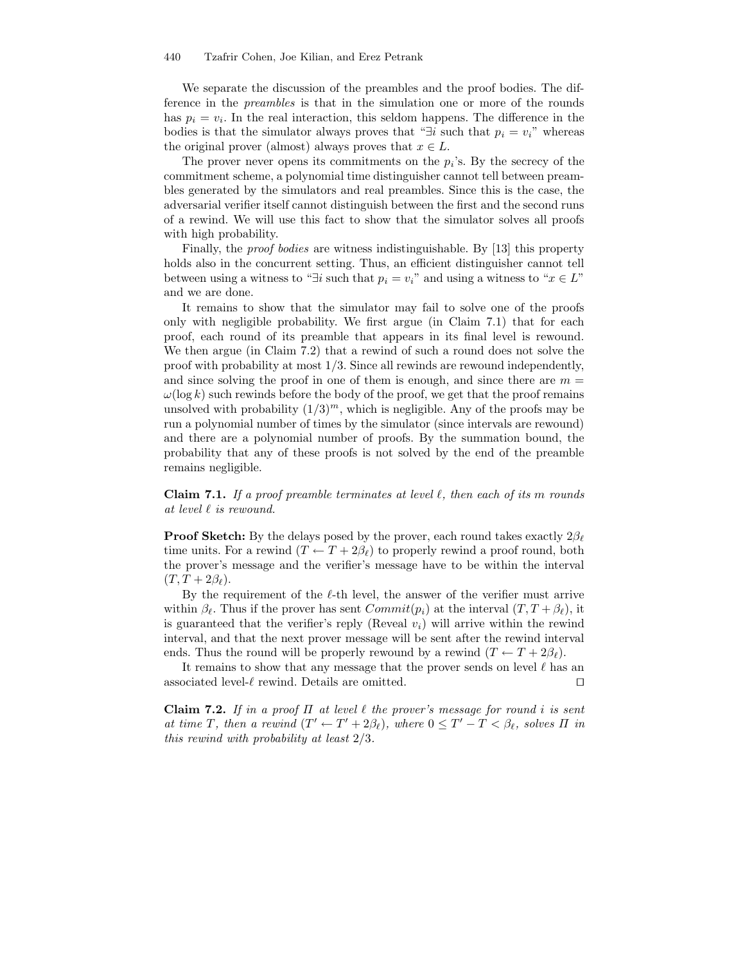#### 440 Tzafrir Cohen, Joe Kilian, and Erez Petrank

We separate the discussion of the preambles and the proof bodies. The difference in the preambles is that in the simulation one or more of the rounds has  $p_i = v_i$ . In the real interaction, this seldom happens. The difference in the bodies is that the simulator always proves that "∃i such that  $p_i = v_i$ " whereas the original prover (almost) always proves that  $x \in L$ .

The prover never opens its commitments on the  $p_i$ 's. By the secrecy of the commitment scheme, a polynomial time distinguisher cannot tell between preambles generated by the simulators and real preambles. Since this is the case, the adversarial verifier itself cannot distinguish between the first and the second runs of a rewind. We will use this fact to show that the simulator solves all proofs with high probability.

Finally, the *proof bodies* are witness indistinguishable. By [13] this property holds also in the concurrent setting. Thus, an efficient distinguisher cannot tell between using a witness to "∃i such that  $p_i = v_i$ " and using a witness to " $x \in L$ " and we are done.

It remains to show that the simulator may fail to solve one of the proofs only with negligible probability. We first argue (in Claim 7.1) that for each proof, each round of its preamble that appears in its final level is rewound. We then argue (in Claim 7.2) that a rewind of such a round does not solve the proof with probability at most 1/3. Since all rewinds are rewound independently, and since solving the proof in one of them is enough, and since there are  $m =$  $\omega(\log k)$  such rewinds before the body of the proof, we get that the proof remains unsolved with probability  $(1/3)^m$ , which is negligible. Any of the proofs may be run a polynomial number of times by the simulator (since intervals are rewound) and there are a polynomial number of proofs. By the summation bound, the probability that any of these proofs is not solved by the end of the preamble remains negligible.

**Claim 7.1.** If a proof preamble terminates at level  $\ell$ , then each of its m rounds at level  $\ell$  is rewound.

**Proof Sketch:** By the delays posed by the prover, each round takes exactly  $2\beta_{\ell}$ time units. For a rewind  $(T \leftarrow T + 2\beta_\ell)$  to properly rewind a proof round, both the prover's message and the verifier's message have to be within the interval  $(T, T + 2\beta_{\ell}).$ 

By the requirement of the  $\ell$ -th level, the answer of the verifier must arrive within  $\beta_{\ell}$ . Thus if the prover has sent  $Commit(p_i)$  at the interval  $(T, T + \beta_{\ell})$ , it is guaranteed that the verifier's reply (Reveal  $v_i$ ) will arrive within the rewind interval, and that the next prover message will be sent after the rewind interval ends. Thus the round will be properly rewound by a rewind  $(T \leftarrow T + 2\beta_\ell)$ .

It remains to show that any message that the prover sends on level  $\ell$  has an associated level- $\ell$  rewind. Details are omitted.  $\Box$ 

**Claim 7.2.** If in a proof  $\Pi$  at level  $\ell$  the prover's message for round i is sent at time T, then a rewind  $(T' \leftarrow T' + 2\beta_\ell)$ , where  $0 \leq T' - T < \beta_\ell$ , solves  $\Pi$  in this rewind with probability at least 2/3.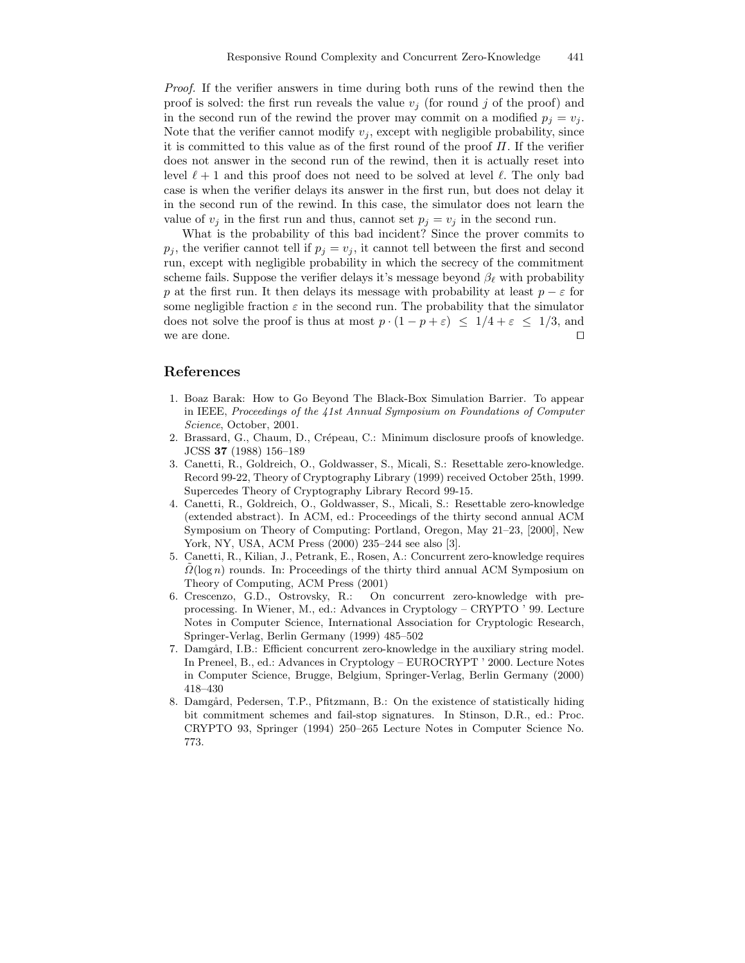Proof. If the verifier answers in time during both runs of the rewind then the proof is solved: the first run reveals the value  $v_j$  (for round j of the proof) and in the second run of the rewind the prover may commit on a modified  $p_i = v_i$ . Note that the verifier cannot modify  $v_j$ , except with negligible probability, since it is committed to this value as of the first round of the proof  $\Pi$ . If the verifier does not answer in the second run of the rewind, then it is actually reset into level  $\ell + 1$  and this proof does not need to be solved at level  $\ell$ . The only bad case is when the verifier delays its answer in the first run, but does not delay it in the second run of the rewind. In this case, the simulator does not learn the value of  $v_j$  in the first run and thus, cannot set  $p_j = v_j$  in the second run.

What is the probability of this bad incident? Since the prover commits to  $p_i$ , the verifier cannot tell if  $p_i = v_i$ , it cannot tell between the first and second run, except with negligible probability in which the secrecy of the commitment scheme fails. Suppose the verifier delays it's message beyond  $\beta_{\ell}$  with probability p at the first run. It then delays its message with probability at least  $p - \varepsilon$  for some negligible fraction  $\varepsilon$  in the second run. The probability that the simulator does not solve the proof is thus at most  $p \cdot (1 - p + \varepsilon) \leq 1/4 + \varepsilon \leq 1/3$ , and we are done.  $\Box$ 

## References

- 1. Boaz Barak: How to Go Beyond The Black-Box Simulation Barrier. To appear in IEEE, Proceedings of the 41st Annual Symposium on Foundations of Computer Science, October, 2001.
- 2. Brassard, G., Chaum, D., Crépeau, C.: Minimum disclosure proofs of knowledge. JCSS 37 (1988) 156–189
- 3. Canetti, R., Goldreich, O., Goldwasser, S., Micali, S.: Resettable zero-knowledge. Record 99-22, Theory of Cryptography Library (1999) received October 25th, 1999. Supercedes Theory of Cryptography Library Record 99-15.
- 4. Canetti, R., Goldreich, O., Goldwasser, S., Micali, S.: Resettable zero-knowledge (extended abstract). In ACM, ed.: Proceedings of the thirty second annual ACM Symposium on Theory of Computing: Portland, Oregon, May 21–23, [2000], New York, NY, USA, ACM Press (2000) 235–244 see also [3].
- 5. Canetti, R., Kilian, J., Petrank, E., Rosen, A.: Concurrent zero-knowledge requires  $\Omega(\log n)$  rounds. In: Proceedings of the thirty third annual ACM Symposium on Theory of Computing, ACM Press (2001)
- 6. Crescenzo, G.D., Ostrovsky, R.: On concurrent zero-knowledge with preprocessing. In Wiener, M., ed.: Advances in Cryptology – CRYPTO ' 99. Lecture Notes in Computer Science, International Association for Cryptologic Research, Springer-Verlag, Berlin Germany (1999) 485–502
- 7. Damgård, I.B.: Efficient concurrent zero-knowledge in the auxiliary string model. In Preneel, B., ed.: Advances in Cryptology – EUROCRYPT ' 2000. Lecture Notes in Computer Science, Brugge, Belgium, Springer-Verlag, Berlin Germany (2000) 418–430
- 8. Damgård, Pedersen, T.P., Pfitzmann, B.: On the existence of statistically hiding bit commitment schemes and fail-stop signatures. In Stinson, D.R., ed.: Proc. CRYPTO 93, Springer (1994) 250–265 Lecture Notes in Computer Science No. 773.